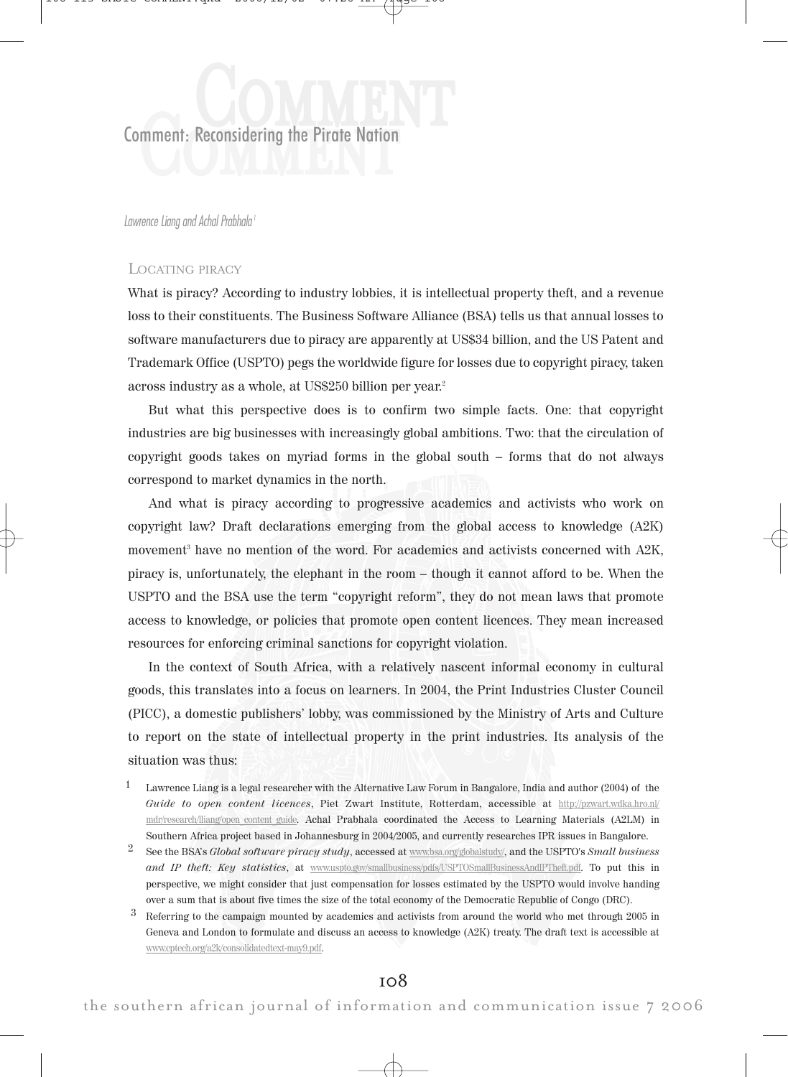**Comment: Reconsidering the Pirate Nation** Reconsidering the Pirate Nation

Lawrence Liana and Achal Prabhala<sup>1</sup>

## LOCATING PIRACY

What is piracy? According to industry lobbies, it is intellectual property theft, and a revenue loss to their constituents. The Business Software Alliance (BSA) tells us that annual losses to software manufacturers due to piracy are apparently at US\$34 billion, and the US Patent and Trademark Office (USPTO) pegs the worldwide figure for losses due to copyright piracy, taken across industry as a whole, at US\$250 billion per year. 2

But what this perspective does is to confirm two simple facts. One: that copyright industries are big businesses with increasingly global ambitions. Two: that the circulation of copyright goods takes on myriad forms in the global south – forms that do not always correspond to market dynamics in the north.

And what is piracy according to progressive academics and activists who work on copyright law? Draft declarations emerging from the global access to knowledge (A2K) movement <sup>3</sup> have no mention of the word. For academics and activists concerned with A2K, piracy is, unfortunately, the elephant in the room – though it cannot afford to be. When the USPTO and the BSA use the term "copyright reform", they do not mean laws that promote access to knowledge, or policies that promote open content licences. They mean increased resources for enforcing criminal sanctions for copyright violation.

In the context of South Africa, with a relatively nascent informal economy in cultural goods, this translates into a focus on learners. In 2004, the Print Industries Cluster Council (PICC), a domestic publishers' lobby, was commissioned by the Ministry of Arts and Culture to report on the state of intellectual property in the print industries. Its analysis of the situation was thus:

- 1 Lawrence Liang is a legal researcher with the Alternative Law Forum in Bangalore, India and author (2004) of the Guide to open content licences, Piet Zwart Institute, Rotterdam, accessible at http://pzwart.wdka.hro.nl/ mdr/research/lliang/open\_content\_guide. Achal Prabhala coordinated the Access to Learning Materials (A2LM) in Southern Africa project based in Johannesburg in 2004/2005, and currently researches IPR issues in Bangalore.
- <sup>2</sup> See the BSA's *Global software piracy study*, accessed at www.bsa.org/globalstudy/, and the USPTO's Small business and IP theft: Key statistics, at www.uspto.gov/smallbusiness/pdfs/USPTOSmallBusinessAndIPTheft.pdf. To put this in perspective, we might consider that just compensation for losses estimated by the USPTO would involve handing over a sum that is about five times the size of the total economy of the Democratic Republic of Congo (DRC).
- 3 Referring to the campaign mounted by academics and activists from around the world who met through 2005 in Geneva and London to formulate and discuss an access to knowledge (A2K) treaty. The draft text is accessible at www.cptech.org/a2k/consolidatedtext-may9.pdf.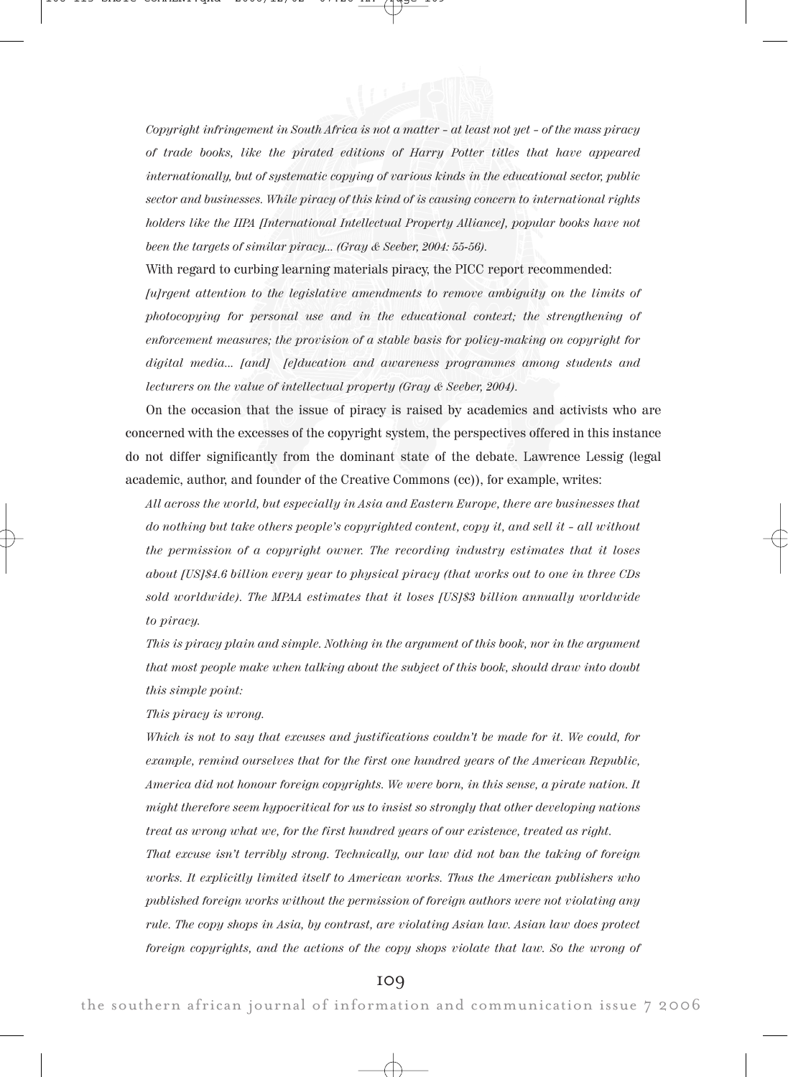Copyright infringement in South Africa is not a matter – at least not yet – of the mass piracy of trade books, like the pirated editions of Harry Potter titles that have appeared internationally, but of systematic copying of various kinds in the educational sector, public sector and businesses. While piracy of this kind of is causing concern to international rights holders like the IIPA [International Intellectual Property Alliance], popular books have not been the targets of similar piracy... (Gray & Seeber, 2004: 55-56).

With regard to curbing learning materials piracy, the PICC report recommended:

[u]rgent attention to the legislative amendments to remove ambiguity on the limits of photocopying for personal use and in the educational context; the strengthening of enforcement measures; the provision of a stable basis for policy-making on copyright for digital media... [and] [e]ducation and awareness programmes among students and lecturers on the value of intellectual property (Gray & Seeber, 2004).

On the occasion that the issue of piracy is raised by academics and activists who are concerned with the excesses of the copyright system, the perspectives offered in this instance do not differ significantly from the dominant state of the debate. Lawrence Lessig (legal academic, author, and founder of the Creative Commons (cc)), for example, writes:

All across the world, but especially in Asia and Eastern Europe, there are businesses that do nothing but take others people's copyrighted content, copy it, and sell it – all without the permission of a copyright owner. The recording industry estimates that it loses about [US]\$4.6 billion every year to physical piracy (that works out to one in three CDs sold worldwide). The MPAA estimates that it loses [US]\$3 billion annually worldwide to piracy.

This is piracy plain and simple. Nothing in the argument of this book, nor in the argument that most people make when talking about the subject of this book, should draw into doubt this simple point:

This piracy is wrong.

Which is not to say that excuses and justifications couldn't be made for it. We could, for example, remind ourselves that for the first one hundred years of the American Republic, America did not honour foreign copyrights. We were born, in this sense, a pirate nation. It might therefore seem hypocritical for us to insist so strongly that other developing nations treat as wrong what we, for the first hundred years of our existence, treated as right.

That excuse isn't terribly strong. Technically, our law did not ban the taking of foreign works. It explicitly limited itself to American works. Thus the American publishers who published foreign works without the permission of foreign authors were not violating any rule. The copy shops in Asia, by contrast, are violating Asian law. Asian law does protect foreign copyrights, and the actions of the copy shops violate that law. So the wrong of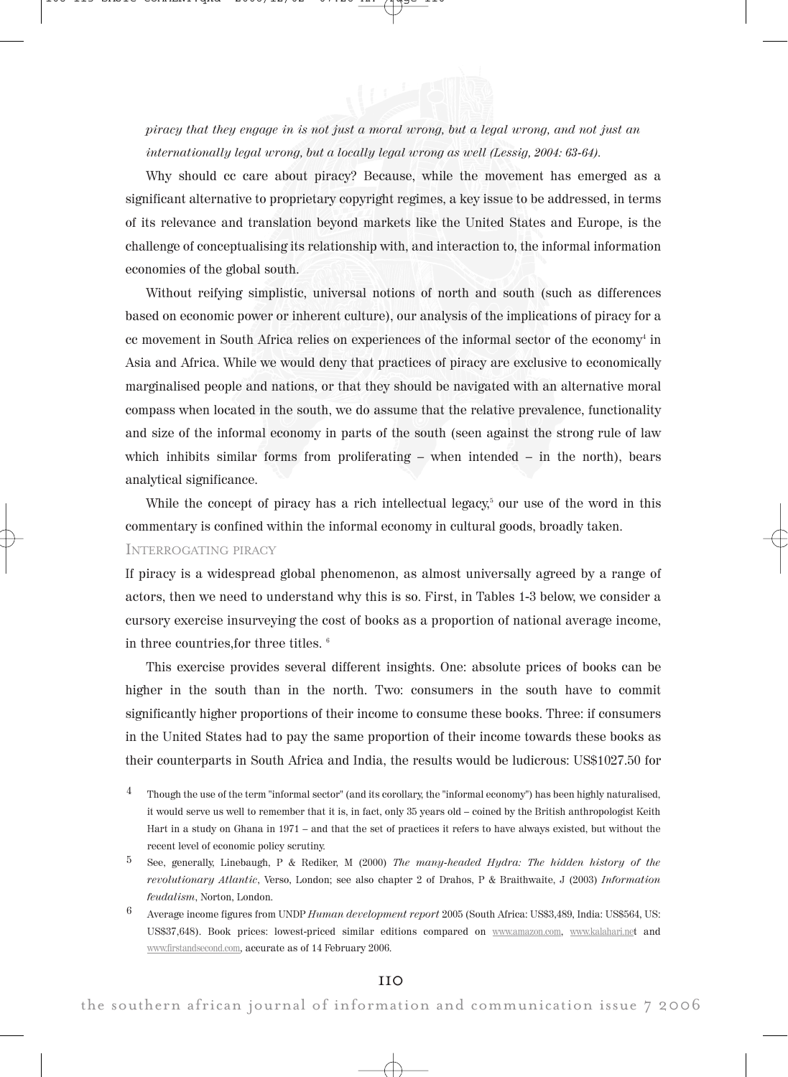

piracy that they engage in is not just a moral wrong, but a legal wrong, and not just an internationally legal wrong, but a locally legal wrong as well (Lessig, 2004: 63-64).

Why should cc care about piracy? Because, while the movement has emerged as a significant alternative to proprietary copyright regimes, a key issue to be addressed, in terms of its relevance and translation beyond markets like the United States and Europe, is the challenge of conceptualising its relationship with, and interaction to, the informal information economies of the global south.

Without reifying simplistic, universal notions of north and south (such as differences based on economic power or inherent culture), our analysis of the implications of piracy for a cc movement in South Africa relies on experiences of the informal sector of the economy<sup>4</sup> in Asia and Africa. While we would deny that practices of piracy are exclusive to economically marginalised people and nations, or that they should be navigated with an alternative moral compass when located in the south, we do assume that the relative prevalence, functionality and size of the informal economy in parts of the south (seen against the strong rule of law which inhibits similar forms from proliferating – when intended – in the north), bears analytical significance.

While the concept of piracy has a rich intellectual legacy, <sup>5</sup> our use of the word in this commentary is confined within the informal economy in cultural goods, broadly taken. INTERROGATING PIRACY

If piracy is a widespread global phenomenon, as almost universally agreed by a range of actors, then we need to understand why this is so. First, in Tables 1-3 below, we consider a cursory exercise insurveying the cost of books as a proportion of national average income, in three countries,for three titles. <sup>6</sup>

This exercise provides several different insights. One: absolute prices of books can be higher in the south than in the north. Two: consumers in the south have to commit significantly higher proportions of their income to consume these books. Three: if consumers in the United States had to pay the same proportion of their income towards these books as their counterparts in South Africa and India, the results would be ludicrous: US\$1027.50 for

- <sup>4</sup> Though the use of the term "informal sector" (and its corollary, the "informal economy") has been highly naturalised, it would serve us well to remember that it is, in fact, only 35 years old – coined by the British anthropologist Keith Hart in a study on Ghana in 1971 – and that the set of practices it refers to have always existed, but without the recent level of economic policy scrutiny.
- $5$  See, generally, Linebaugh, P & Rediker, M (2000) The many-headed Hydra: The hidden history of the revolutionary Atlantic, Verso, London; see also chapter 2 of Drahos, P & Braithwaite, J (2003) Information feudalism, Norton, London.
- 6 Average income figures from UNDP Human development report 2005 (South Africa: US\$3,489, India: US\$564, US: US\$37,648). Book prices: lowest-priced similar editions compared on www.amazon.com, www.kalahari.net and www.firstandsecond.com, accurate as of 14 February 2006.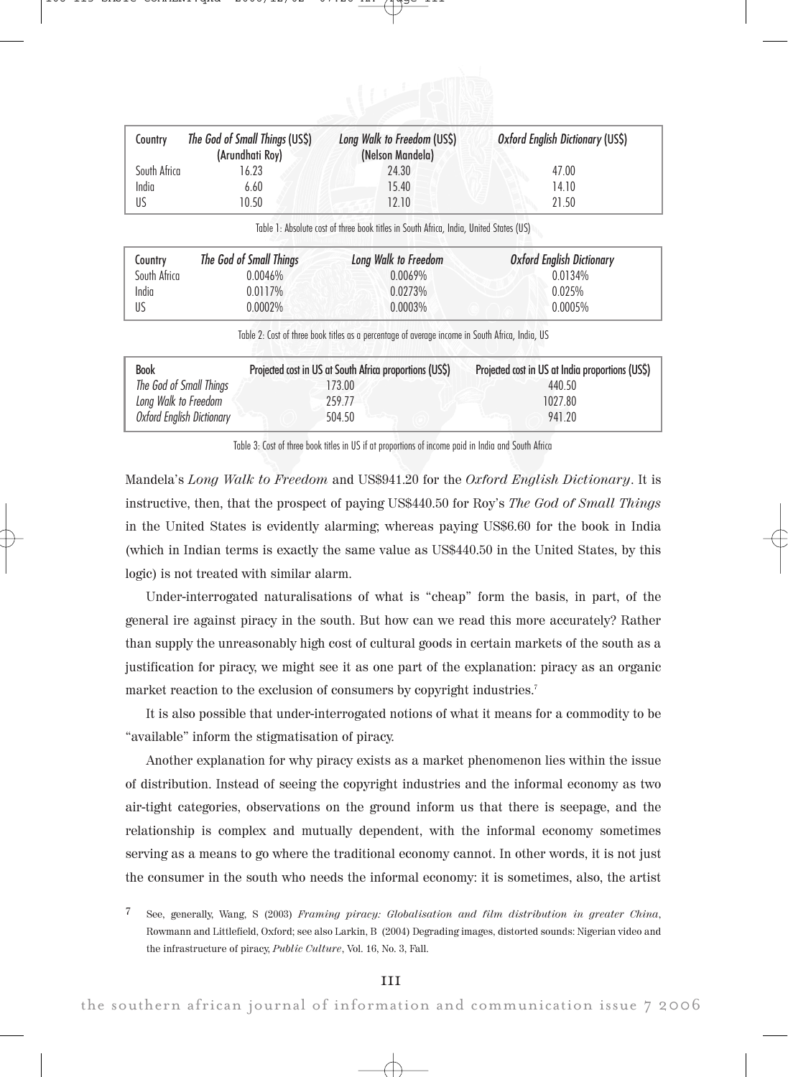

| Country      | The God of Small Things (US\$)<br>(Arundhati Roy) | Long Walk to Freedom (US\$)<br>(Nelson Mandela) | Oxford English Dictionary (US\$) |
|--------------|---------------------------------------------------|-------------------------------------------------|----------------------------------|
| South Africa | 16.23                                             | 24.30                                           | 47.00                            |
| India        | 6.60                                              | 15.40                                           | 14.10                            |
| US           | 10.50                                             | 12.10                                           | 21.50                            |

Table 1: Absolute cost of three book titles in South Africa, India, United States (US)

| Country      | The God of Small Things | Long Walk to Freedom | <b>Oxford English Dictionary</b> |
|--------------|-------------------------|----------------------|----------------------------------|
| South Africa | 0.0046%                 | 0.0069%              | 0.0134%                          |
| India        | 0.0117%                 | 0.0273%              | 0.025%                           |
| -US          | J.0002%                 | $0.0003\%$           | 0.0005%                          |

Table 2: Cost of three book titles as a percentage of average income in South Africa, India, US

| <b>Book</b>               | Projected cost in US at South Africa proportions (US\$) | Projected cost in US at India proportions (USS) |
|---------------------------|---------------------------------------------------------|-------------------------------------------------|
| The God of Small Things   | 173.00                                                  | 440.50                                          |
| Long Walk to Freedom      | 259.77                                                  | 1027.80                                         |
| Oxford Enalish Dictionary | 504.50                                                  | 941 20                                          |

Table 3: Cost of three book titles in US if at proportions of income paid in India and South Africa

Mandela's Long Walk to Freedom and US\$941.20 for the Oxford English Dictionary. It is instructive, then, that the prospect of paying US\$440.50 for Roy's The God of Small Things in the United States is evidently alarming; whereas paying US\$6.60 for the book in India (which in Indian terms is exactly the same value as US\$440.50 in the United States, by this logic) is not treated with similar alarm.

Under-interrogated naturalisations of what is "cheap" form the basis, in part, of the general ire against piracy in the south. But how can we read this more accurately? Rather than supply the unreasonably high cost of cultural goods in certain markets of the south as a justification for piracy, we might see it as one part of the explanation: piracy as an organic market reaction to the exclusion of consumers by copyright industries.7

It is also possible that under-interrogated notions of what it means for a commodity to be "available" inform the stigmatisation of piracy.

Another explanation for why piracy exists as a market phenomenon lies within the issue of distribution. Instead of seeing the copyright industries and the informal economy as two air-tight categories, observations on the ground inform us that there is seepage, and the relationship is complex and mutually dependent, with the informal economy sometimes serving as a means to go where the traditional economy cannot. In other words, it is not just the consumer in the south who needs the informal economy: it is sometimes, also, the artist

<sup>7</sup> See, generally, Wang, S (2003) Framing piracy: Globalisation and film distribution in greater China, Rowmann and Littlefield, Oxford; see also Larkin, B (2004) Degrading images, distorted sounds: Nigerian video and the infrastructure of piracy, Public Culture, Vol. 16, No. 3, Fall.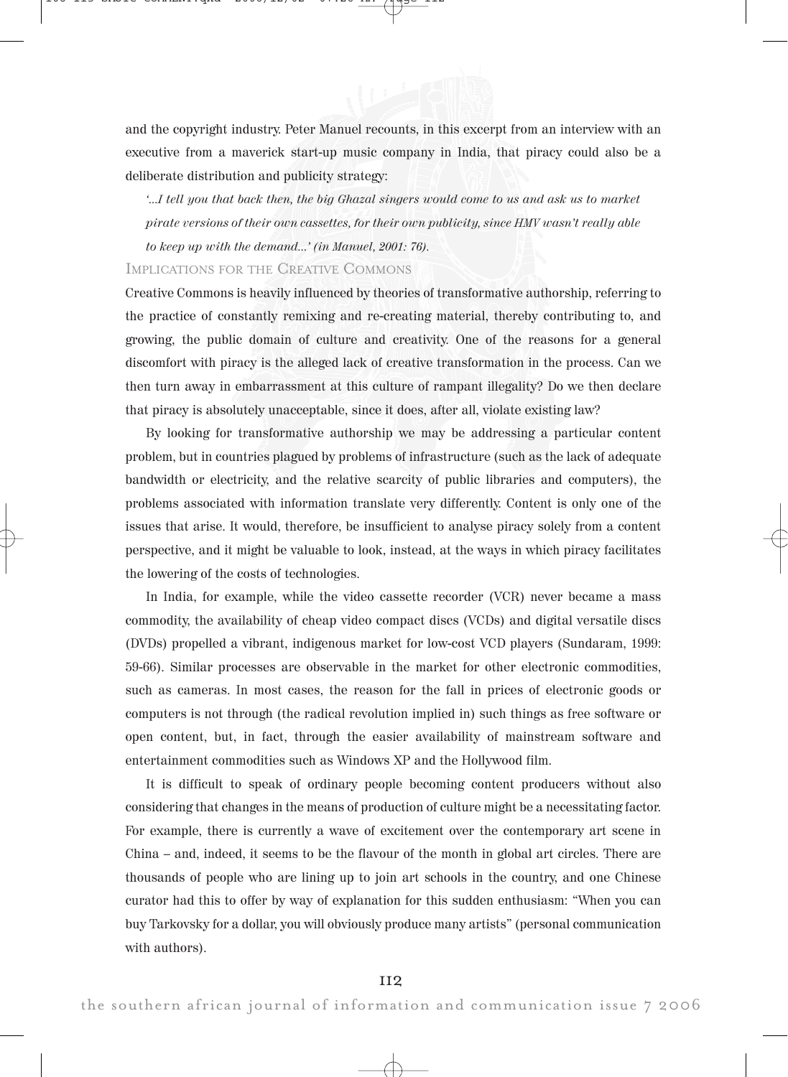and the copyright industry. Peter Manuel recounts, in this excerpt from an interview with an executive from a maverick start-up music company in India, that piracy could also be a deliberate distribution and publicity strategy:

'...I tell you that back then, the big Ghazal singers would come to us and ask us to market pirate versions of their own cassettes, for their own publicity, since HMV wasn't really able to keep up with the demand...' (in Manuel, 2001: 76).

## IMPLICATIONS FOR THE CREATIVE COMMONS

Creative Commons is heavily influenced by theories of transformative authorship, referring to the practice of constantly remixing and re-creating material, thereby contributing to, and growing, the public domain of culture and creativity. One of the reasons for a general discomfort with piracy is the alleged lack of creative transformation in the process. Can we then turn away in embarrassment at this culture of rampant illegality? Do we then declare that piracy is absolutely unacceptable, since it does, after all, violate existing law?

By looking for transformative authorship we may be addressing a particular content problem, but in countries plagued by problems of infrastructure (such as the lack of adequate bandwidth or electricity, and the relative scarcity of public libraries and computers), the problems associated with information translate very differently. Content is only one of the issues that arise. It would, therefore, be insufficient to analyse piracy solely from a content perspective, and it might be valuable to look, instead, at the ways in which piracy facilitates the lowering of the costs of technologies.

In India, for example, while the video cassette recorder (VCR) never became a mass commodity, the availability of cheap video compact discs (VCDs) and digital versatile discs (DVDs) propelled a vibrant, indigenous market for low-cost VCD players (Sundaram, 1999: 59-66). Similar processes are observable in the market for other electronic commodities, such as cameras. In most cases, the reason for the fall in prices of electronic goods or computers is not through (the radical revolution implied in) such things as free software or open content, but, in fact, through the easier availability of mainstream software and entertainment commodities such as Windows XP and the Hollywood film.

It is difficult to speak of ordinary people becoming content producers without also considering that changes in the means of production of culture might be a necessitating factor. For example, there is currently a wave of excitement over the contemporary art scene in China – and, indeed, it seems to be the flavour of the month in global art circles. There are thousands of people who are lining up to join art schools in the country, and one Chinese curator had this to offer by way of explanation for this sudden enthusiasm: "When you can buy Tarkovsky for a dollar, you will obviously produce many artists" (personal communication with authors).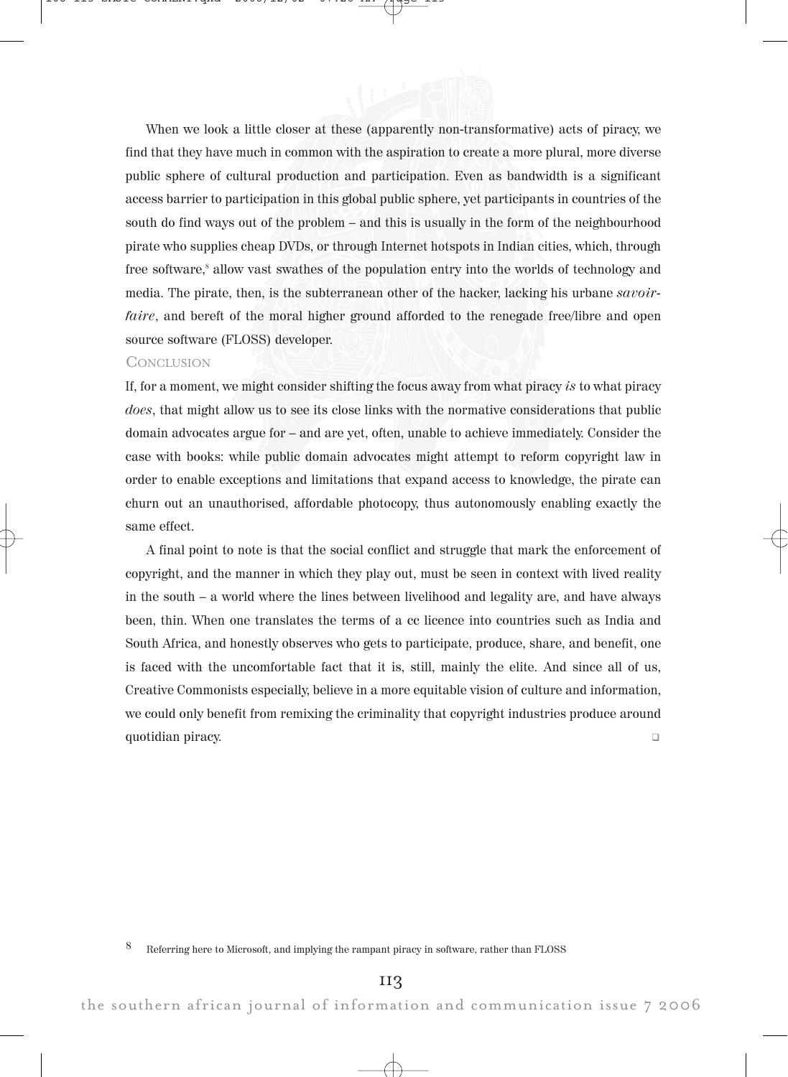When we look a little closer at these (apparently non-transformative) acts of piracy, we find that they have much in common with the aspiration to create a more plural, more diverse public sphere of cultural production and participation. Even as bandwidth is a significant access barrier to participation in this global public sphere, yet participants in countries of the south do find ways out of the problem – and this is usually in the form of the neighbourhood pirate who supplies cheap DVDs, or through Internet hotspots in Indian cities, which, through free software,<sup>8</sup> allow vast swathes of the population entry into the worlds of technology and media. The pirate, then, is the subterranean other of the hacker, lacking his urbane savoirfaire, and bereft of the moral higher ground afforded to the renegade free/libre and open source software (FLOSS) developer.

## **CONCLUSION**

If, for a moment, we might consider shifting the focus away from what piracy is to what piracy does, that might allow us to see its close links with the normative considerations that public domain advocates argue for – and are yet, often, unable to achieve immediately. Consider the case with books: while public domain advocates might attempt to reform copyright law in order to enable exceptions and limitations that expand access to knowledge, the pirate can churn out an unauthorised, affordable photocopy, thus autonomously enabling exactly the same effect.

A final point to note is that the social conflict and struggle that mark the enforcement of copyright, and the manner in which they play out, must be seen in context with lived reality in the south – a world where the lines between livelihood and legality are, and have always been, thin. When one translates the terms of a cc licence into countries such as India and South Africa, and honestly observes who gets to participate, produce, share, and benefit, one is faced with the uncomfortable fact that it is, still, mainly the elite. And since all of us, Creative Commonists especially, believe in a more equitable vision of culture and information, we could only benefit from remixing the criminality that copyright industries produce around quotidian piracy. !

8 Referring here to Microsoft, and implying the rampant piracy in software, rather than FLOSS